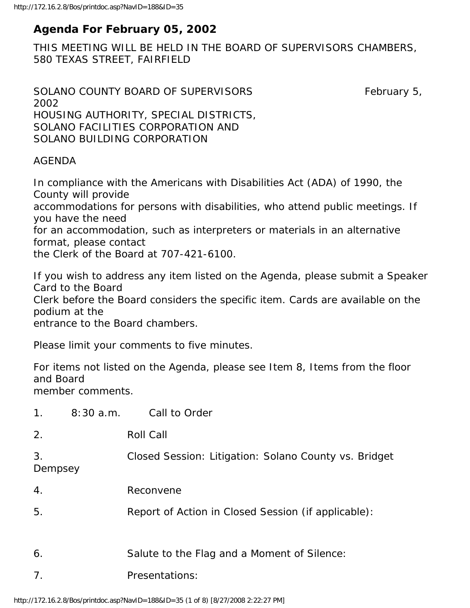# **Agenda For February 05, 2002**

THIS MEETING WILL BE HELD IN THE BOARD OF SUPERVISORS CHAMBERS, 580 TEXAS STREET, FAIRFIELD

```
SOLANO COUNTY BOARD OF SUPERVISORS February 5,
2002 
HOUSING AUTHORITY, SPECIAL DISTRICTS, 
SOLANO FACILITIES CORPORATION AND 
SOLANO BUILDING CORPORATION
```
## AGENDA

In compliance with the Americans with Disabilities Act (ADA) of 1990, the County will provide

accommodations for persons with disabilities, who attend public meetings. If you have the need

for an accommodation, such as interpreters or materials in an alternative format, please contact

the Clerk of the Board at 707-421-6100.

If you wish to address any item listed on the Agenda, please submit a Speaker Card to the Board Clerk before the Board considers the specific item. Cards are available on the podium at the

entrance to the Board chambers.

Please limit your comments to five minutes.

For items not listed on the Agenda, please see Item 8, Items from the floor and Board member comments.

| 1 <sub>1</sub>   | 8:30a.m. | Call to Order                                         |
|------------------|----------|-------------------------------------------------------|
| 2.               |          | <b>Roll Call</b>                                      |
| 3.<br>Dempsey    |          | Closed Session: Litigation: Solano County vs. Bridget |
| $\overline{4}$ . |          | Reconvene                                             |
| 5.               |          | Report of Action in Closed Session (if applicable):   |
| 6.               |          | Salute to the Flag and a Moment of Silence:           |
| 7 <sub>1</sub>   |          | Presentations:                                        |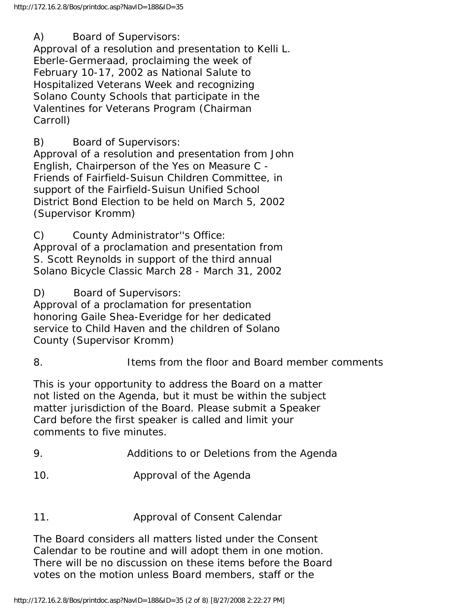A) Board of Supervisors:

Approval of a resolution and presentation to Kelli L. Eberle-Germeraad, proclaiming the week of February 10-17, 2002 as National Salute to Hospitalized Veterans Week and recognizing Solano County Schools that participate in the Valentines for Veterans Program (Chairman Carroll)

B) Board of Supervisors:

Approval of a resolution and presentation from John English, Chairperson of the Yes on Measure C - Friends of Fairfield-Suisun Children Committee, in support of the Fairfield-Suisun Unified School District Bond Election to be held on March 5, 2002 (Supervisor Kromm)

C) County Administrator''s Office:

Approval of a proclamation and presentation from S. Scott Reynolds in support of the third annual Solano Bicycle Classic March 28 - March 31, 2002

D) Board of Supervisors:

Approval of a proclamation for presentation honoring Gaile Shea-Everidge for her dedicated service to Child Haven and the children of Solano County (Supervisor Kromm)

# 8. Items from the floor and Board member comments

This is your opportunity to address the Board on a matter not listed on the Agenda, but it must be within the subject matter jurisdiction of the Board. Please submit a Speaker Card before the first speaker is called and limit your comments to five minutes.

- 9. Additions to or Deletions from the Agenda
- 10. Approval of the Agenda

# 11. Approval of Consent Calendar

The Board considers all matters listed under the Consent Calendar to be routine and will adopt them in one motion. There will be no discussion on these items before the Board votes on the motion unless Board members, staff or the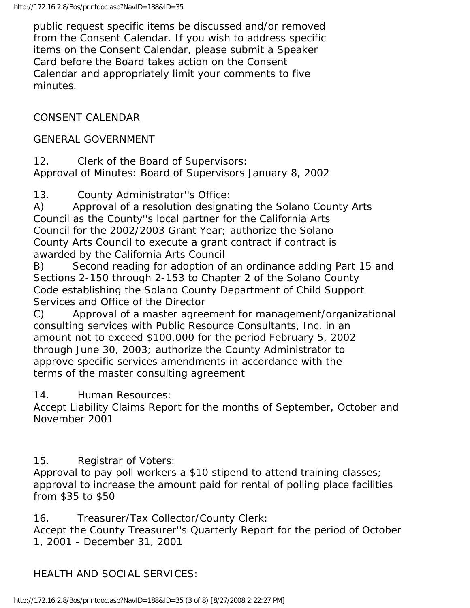public request specific items be discussed and/or removed from the Consent Calendar. If you wish to address specific items on the Consent Calendar, please submit a Speaker Card before the Board takes action on the Consent Calendar and appropriately limit your comments to five minutes.

# CONSENT CALENDAR

## GENERAL GOVERNMENT

12. Clerk of the Board of Supervisors: Approval of Minutes: Board of Supervisors January 8, 2002

13. County Administrator''s Office:

A) Approval of a resolution designating the Solano County Arts Council as the County''s local partner for the California Arts Council for the 2002/2003 Grant Year; authorize the Solano County Arts Council to execute a grant contract if contract is awarded by the California Arts Council

B) Second reading for adoption of an ordinance adding Part 15 and Sections 2-150 through 2-153 to Chapter 2 of the Solano County Code establishing the Solano County Department of Child Support Services and Office of the Director

C) Approval of a master agreement for management/organizational consulting services with Public Resource Consultants, Inc. in an amount not to exceed \$100,000 for the period February 5, 2002 through June 30, 2003; authorize the County Administrator to approve specific services amendments in accordance with the terms of the master consulting agreement

## 14. Human Resources:

Accept Liability Claims Report for the months of September, October and November 2001

## 15. Registrar of Voters:

Approval to pay poll workers a \$10 stipend to attend training classes; approval to increase the amount paid for rental of polling place facilities from \$35 to \$50

16. Treasurer/Tax Collector/County Clerk:

Accept the County Treasurer''s Quarterly Report for the period of October 1, 2001 - December 31, 2001

# HEALTH AND SOCIAL SERVICES: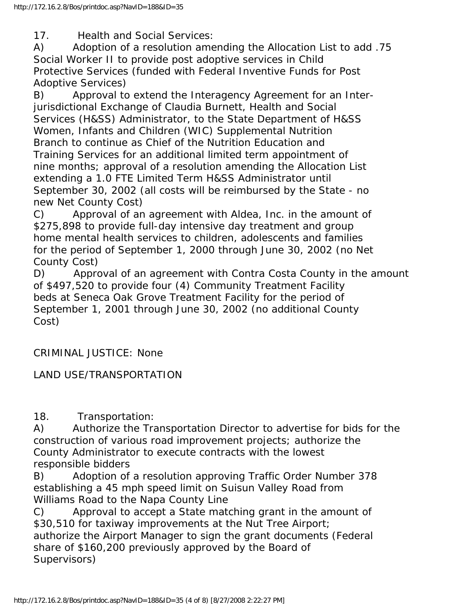17. Health and Social Services:

A) Adoption of a resolution amending the Allocation List to add .75 Social Worker II to provide post adoptive services in Child Protective Services (funded with Federal Inventive Funds for Post Adoptive Services)

B) Approval to extend the Interagency Agreement for an Interjurisdictional Exchange of Claudia Burnett, Health and Social Services (H&SS) Administrator, to the State Department of H&SS Women, Infants and Children (WIC) Supplemental Nutrition Branch to continue as Chief of the Nutrition Education and Training Services for an additional limited term appointment of nine months; approval of a resolution amending the Allocation List extending a 1.0 FTE Limited Term H&SS Administrator until September 30, 2002 (all costs will be reimbursed by the State - no new Net County Cost)

C) Approval of an agreement with Aldea, Inc. in the amount of \$275,898 to provide full-day intensive day treatment and group home mental health services to children, adolescents and families for the period of September 1, 2000 through June 30, 2002 (no Net County Cost)

D) Approval of an agreement with Contra Costa County in the amount of \$497,520 to provide four (4) Community Treatment Facility beds at Seneca Oak Grove Treatment Facility for the period of September 1, 2001 through June 30, 2002 (no additional County Cost)

CRIMINAL JUSTICE: None

LAND USE/TRANSPORTATION

18. Transportation:

A) Authorize the Transportation Director to advertise for bids for the construction of various road improvement projects; authorize the County Administrator to execute contracts with the lowest responsible bidders

B) Adoption of a resolution approving Traffic Order Number 378 establishing a 45 mph speed limit on Suisun Valley Road from Williams Road to the Napa County Line

C) Approval to accept a State matching grant in the amount of \$30,510 for taxiway improvements at the Nut Tree Airport; authorize the Airport Manager to sign the grant documents (Federal share of \$160,200 previously approved by the Board of Supervisors)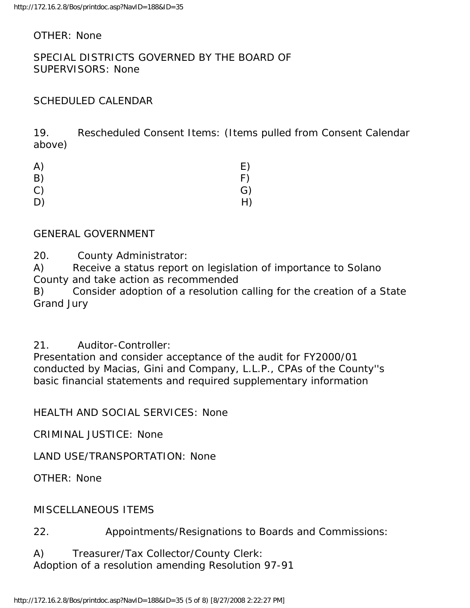#### OTHER: None

#### SPECIAL DISTRICTS GOVERNED BY THE BOARD OF SUPERVISORS: None

## SCHEDULED CALENDAR

19. Rescheduled Consent Items: (Items pulled from Consent Calendar above)

| A) | E) |
|----|----|
| B) | F) |
| C) | G) |
| D) | H) |

#### GENERAL GOVERNMENT

20. County Administrator:

A) Receive a status report on legislation of importance to Solano County and take action as recommended

B) Consider adoption of a resolution calling for the creation of a State Grand Jury

## 21. Auditor-Controller:

Presentation and consider acceptance of the audit for FY2000/01 conducted by Macias, Gini and Company, L.L.P., CPAs of the County''s basic financial statements and required supplementary information

HEALTH AND SOCIAL SERVICES: None

CRIMINAL JUSTICE: None

LAND USE/TRANSPORTATION: None

OTHER: None

#### MISCELLANEOUS ITEMS

22. Appointments/Resignations to Boards and Commissions:

A) Treasurer/Tax Collector/County Clerk: Adoption of a resolution amending Resolution 97-91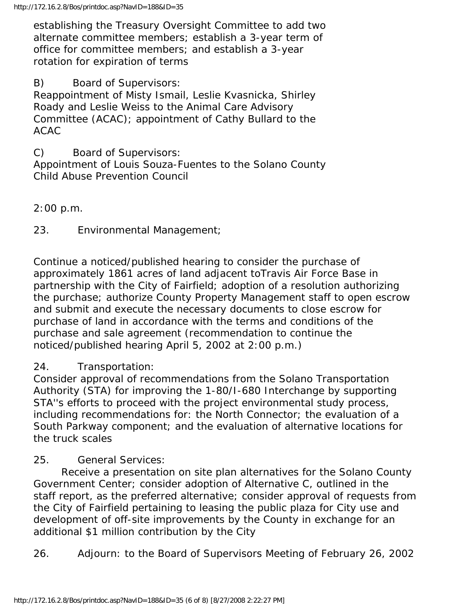establishing the Treasury Oversight Committee to add two alternate committee members; establish a 3-year term of office for committee members; and establish a 3-year rotation for expiration of terms

B) Board of Supervisors:

Reappointment of Misty Ismail, Leslie Kvasnicka, Shirley Roady and Leslie Weiss to the Animal Care Advisory Committee (ACAC); appointment of Cathy Bullard to the ACAC

C) Board of Supervisors:

Appointment of Louis Souza-Fuentes to the Solano County Child Abuse Prevention Council

#### 2:00 p.m.

23. Environmental Management;

Continue a noticed/published hearing to consider the purchase of approximately 1861 acres of land adjacent toTravis Air Force Base in partnership with the City of Fairfield; adoption of a resolution authorizing the purchase; authorize County Property Management staff to open escrow and submit and execute the necessary documents to close escrow for purchase of land in accordance with the terms and conditions of the purchase and sale agreement (recommendation to continue the noticed/published hearing April 5, 2002 at 2:00 p.m.)

## 24. Transportation:

Consider approval of recommendations from the Solano Transportation Authority (STA) for improving the 1-80/I-680 Interchange by supporting STA''s efforts to proceed with the project environmental study process, including recommendations for: the North Connector; the evaluation of a South Parkway component; and the evaluation of alternative locations for the truck scales

#### 25. General Services:

 Receive a presentation on site plan alternatives for the Solano County Government Center; consider adoption of Alternative C, outlined in the staff report, as the preferred alternative; consider approval of requests from the City of Fairfield pertaining to leasing the public plaza for City use and development of off-site improvements by the County in exchange for an additional \$1 million contribution by the City

26. Adjourn: to the Board of Supervisors Meeting of February 26, 2002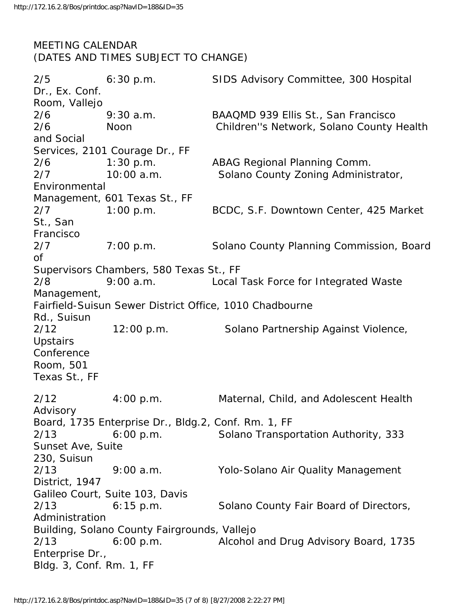# MEETING CALENDAR (DATES AND TIMES SUBJECT TO CHANGE)

2/5 6:30 p.m. SIDS Advisory Committee, 300 Hospital Dr., Ex. Conf. Room, Vallejo 2/6 9:30 a.m. BAAQMD 939 Ellis St., San Francisco 2/6 Noon Children''s Network, Solano County Health and Social Services, 2101 Courage Dr., FF 2/6 1:30 p.m. ABAG Regional Planning Comm. 2/7 10:00 a.m. Solano County Zoning Administrator, Environmental Management, 601 Texas St., FF 2/7 1:00 p.m. BCDC, S.F. Downtown Center, 425 Market St., San Francisco 2/7 7:00 p.m. Solano County Planning Commission, Board of Supervisors Chambers, 580 Texas St., FF 2/8 9:00 a.m. Local Task Force for Integrated Waste Management, Fairfield-Suisun Sewer District Office, 1010 Chadbourne Rd., Suisun 2/12 12:00 p.m. Solano Partnership Against Violence, **Upstairs Conference** Room, 501 Texas St., FF 2/12 4:00 p.m. Maternal, Child, and Adolescent Health Advisory Board, 1735 Enterprise Dr., Bldg.2, Conf. Rm. 1, FF 2/13 6:00 p.m. Solano Transportation Authority, 333 Sunset Ave, Suite 230, Suisun 2/13 9:00 a.m. Yolo-Solano Air Quality Management District, 1947 Galileo Court, Suite 103, Davis 2/13 6:15 p.m. Solano County Fair Board of Directors, Administration Building, Solano County Fairgrounds, Vallejo 2/13 6:00 p.m. Alcohol and Drug Advisory Board, 1735 Enterprise Dr., Bldg. 3, Conf. Rm. 1, FF